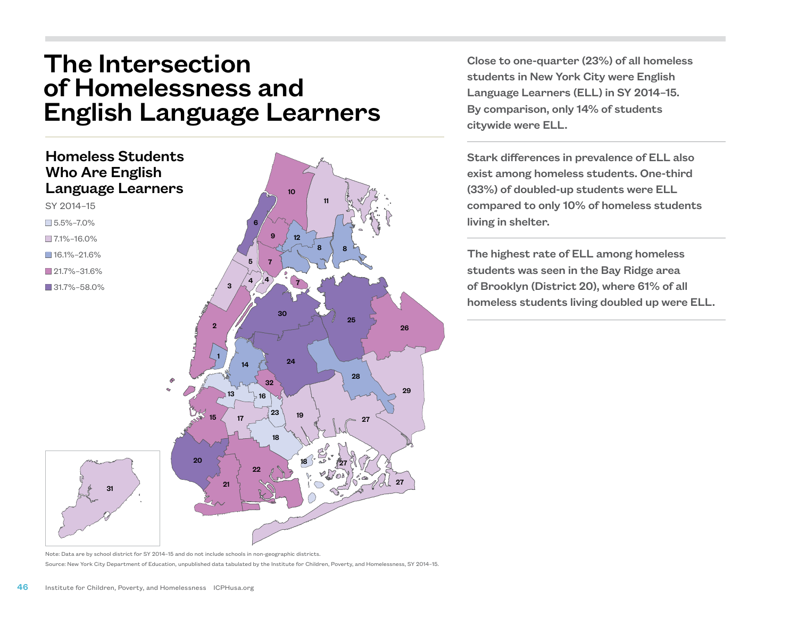## The Intersection of Homelessness and English Language Learners



Close to one-quarter (23%) of all homeless students in New York City were English Language Learners (ELL) in SY 2014–15. By comparison, only 14% of students citywide were ELL.

Stark differences in prevalence of ELL also exist among homeless students. One-third (33%) of doubled-up students were ELL compared to only 10% of homeless students living in shelter.

The highest rate of ELL among homeless students was seen in the Bay Ridge area of Brooklyn (District 20), where 61% of all homeless students living doubled up were ELL.